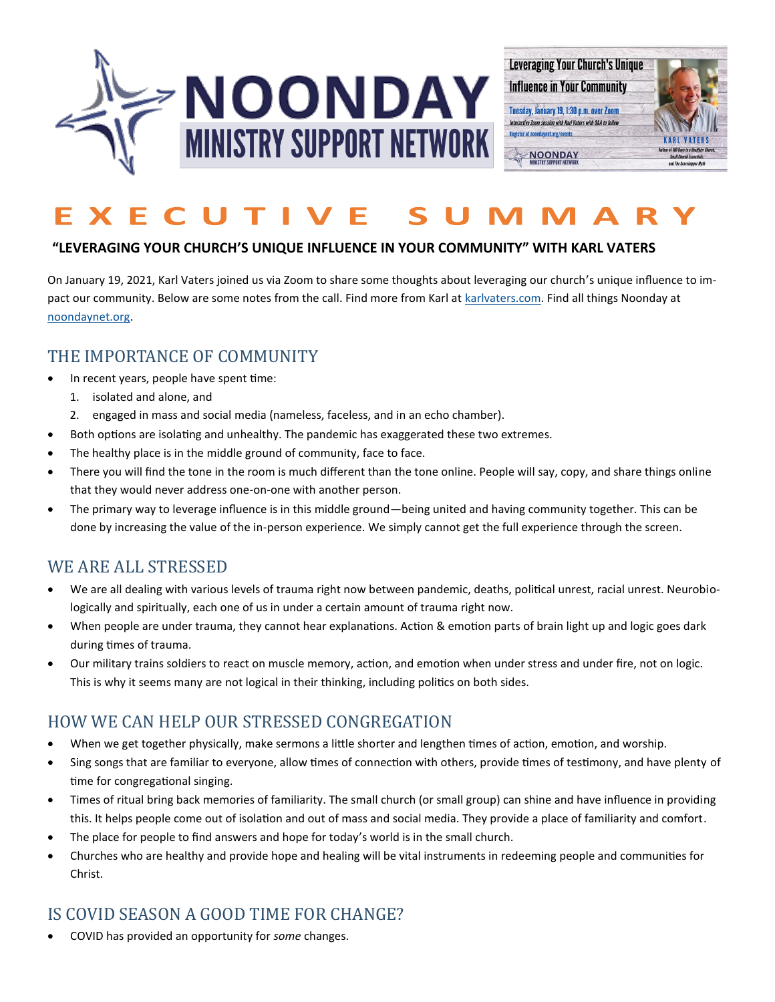



### **"LEVERAGING YOUR CHURCH'S UNIQUE INFLUENCE IN YOUR COMMUNITY" WITH KARL VATERS**

On January 19, 2021, Karl Vaters joined us via Zoom to share some thoughts about leveraging our church's unique influence to impact our community. Below are some notes from the call. Find more from Karl at [karlvaters.com.](https://karlvaters.com/) Find all things Noonday at [noondaynet.org.](https://noondaynet.org/)

# THE IMPORTANCE OF COMMUNITY

- In recent years, people have spent time:
	- 1. isolated and alone, and
	- 2. engaged in mass and social media (nameless, faceless, and in an echo chamber).
- Both options are isolating and unhealthy. The pandemic has exaggerated these two extremes.
- The healthy place is in the middle ground of community, face to face.
- There you will find the tone in the room is much different than the tone online. People will say, copy, and share things online that they would never address one-on-one with another person.
- The primary way to leverage influence is in this middle ground—being united and having community together. This can be done by increasing the value of the in-person experience. We simply cannot get the full experience through the screen.

## WE ARE ALL STRESSED

- We are all dealing with various levels of trauma right now between pandemic, deaths, political unrest, racial unrest. Neurobiologically and spiritually, each one of us in under a certain amount of trauma right now.
- When people are under trauma, they cannot hear explanations. Action & emotion parts of brain light up and logic goes dark during times of trauma.
- Our military trains soldiers to react on muscle memory, action, and emotion when under stress and under fire, not on logic. This is why it seems many are not logical in their thinking, including politics on both sides.

# HOW WE CAN HELP OUR STRESSED CONGREGATION

- When we get together physically, make sermons a little shorter and lengthen times of action, emotion, and worship.
- Sing songs that are familiar to everyone, allow times of connection with others, provide times of testimony, and have plenty of time for congregational singing.
- Times of ritual bring back memories of familiarity. The small church (or small group) can shine and have influence in providing this. It helps people come out of isolation and out of mass and social media. They provide a place of familiarity and comfort.
- The place for people to find answers and hope for today's world is in the small church.
- Churches who are healthy and provide hope and healing will be vital instruments in redeeming people and communities for Christ.

# IS COVID SEASON A GOOD TIME FOR CHANGE?

• COVID has provided an opportunity for *some* changes.